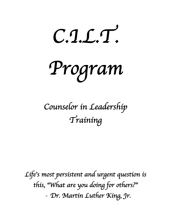*C.I.L.T.* 

*Program* 

# *Counselor in Leadership Training*

*Life*'*s most persistent and urgent question is this,* "*What are you doing for others?*" *- Dr. Martin Luther King, Jr.*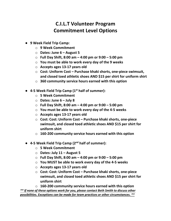# **C.I.L.T Volunteer Program** **Commitment Level Options**

- **9 Week Field Trip Camp:**
	- o **9 Week Commitment**
	- o **Dates: June 6 – August 5**
	- o **Full Day Shift, 8:00 am – 4:00 pm or 9:00 – 5:00 pm**
	- o **You must be able to work every day of the 9 weeks**
	- o **Accepts ages 13-17 years old**
	- o **Cost: Uniform Cost – Purchase khaki shorts, one-piece swimsuit, and closed toed athletic shoes AND \$15 per shirt for uniform shirt**
	- o **360 community service hours earned with this option**
- **4-5 Week Field Trip Camp (1st half of summer):**
	- o **5 Week Commitment**
	- o **Dates: June 6 – July 8**
	- o **Full Day Shift, 8:00 am – 4:00 pm or 9:00 – 5:00 pm**
	- o **You must be able to work every day of the 4-5 weeks**
	- o **Accepts ages 13-17 years old**
	- o **Cost: Cost: Uniform Cost – Purchase khaki shorts, one-piece swimsuit, and closed toed athletic shoes AND \$15 per shirt for uniform shirt**
	- o **160-200 community service hours earned with this option**
- **4-5 Week Field Trip Camp (2nd half of summer):**
	- o **5 Week Commitment**
	- o **Dates: July 11 – August 5**
	- o **Full Day Shift, 8:00 am – 4:00 pm or 9:00 – 5:00 pm**
	- o **You MUST be able to work every day of the 4-5 weeks**
	- o **Accepts ages 13-17 years old**
	- o **Cost: Cost: Uniform Cost – Purchase khaki shorts, one-piece swimsuit, and closed toed athletic shoes AND \$15 per shirt for uniform shirt**

o **160-200 community service hours earned with this option** *\*\* If none of these options work for you, please contact Beth Smith to discuss other possibilities. Exceptions can be made for team practices or other circumstances. \*\**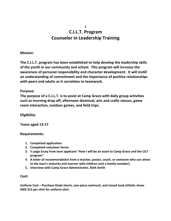# **C.I.L.T. Program Counselor in Leadership Training**

**Mission:**

**The C.I.L.T. program has been established to help develop the leadership skills of the youth in our community and school. This program will increase the awareness of personal responsibility and character development. It will instill an understanding of commitment and the importance of positive relationships with peers and adults as it correlates to teamwork.**

**Purpose:**

**The purpose of a C.I.L.T. is to assist at Camp Grace with daily group activities such as morning drop off, afternoon dismissal, arts and crafts classes, game room interaction, outdoor games, and field trips.**

**Eligibility:**

**Teens aged 13-17**

**Requirements:**

- **1. Completed application**
- **2. Completed volunteer forms**
- **3. ½ page Essay from teen applicant "How I will be an asset to Camp Grace and the CILT program"**
- **4. A letter of recommendation from a teacher, pastor, coach, or someone who can attest to the teen's maturity and manner with children (not a family member).**
- **5. Interview with Camp Grace Administrator, Beth Smith**

**Cost:**

**Uniform Cost – Purchase khaki shorts, one-piece swimsuit, and closed toed athletic shoes AND \$15 per shirt for uniform shirt.**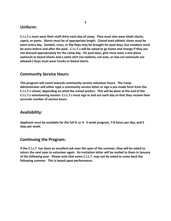#### **Uniform:**

**C.I.L.T.s must wear their staff shirts each day of camp. They must also wear khaki shorts, capris, or pants. Shorts must be of appropriate length. Closed toed athletic shoes must be worn every day. Sandals, crocs, or flip flops may be brought for pool days, but sneakers must be worn before and after the pool. C.I.L.T.s will be asked to go home and change if they are not dressed appropriately for the camp day. On pool days, girls must wear a one-piece swimsuit or board shorts and a swim shirt (no tankinis, cut-outs, or low-cut swimsuits are allowed.) Guys must wear trunks or board shorts.**

#### **Community Service Hours:**

**This program will count towards community service volunteer hours. The Camp Administrator will either type a community service letter or sign a pre-made form from the C.I.L.T.s school, depending on what the school prefers. This will be done at the end of the C.I.L.T.s volunteering session. C.I.L.T.s must sign in and out each day so that they receive their accurate number of service hours.**

## **Availability:**

**Applicant must be available for the full 9, or 4 - 5 week program, 7-8 hours per day, and 5 days per week.**

#### **Continuing the Program:**

**If the C.I.L.T. has done an excellent job over the span of the summer, they will be asked to return the next year to volunteer again. An invitation letter will be mailed to them in January of the following year. Please note that every C.I.L.T. may not be asked to come back the following summer. This is based upon performance.**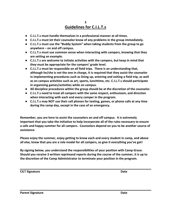#### **3 Guidelines for C.I.L.T.s**

- **C.I.L.T.s must handle themselves in a professional manner at all times.**
- **C.I.L.T.s must let their counselor know of any problems in the group immediately.**
- **C.I.L.T.s must use the "Buddy System" when taking students from the group to go anywhere – on and off campus.**
- **C.I.L.T.s must use common sense when interacting with campers, knowing that they are setting an example.**
- **C.I.L.T.s are welcome to initiate activities with the campers, but keep in mind that they must be appropriate for the campers' grade level.**
- **C.I.L.T.s must be responsible on all field trips. There is an understanding that, although he/she is not the one in charge, it is required that they assist the counselor in implementing procedures such as lining up, entering and exiting a field trip, as well as on campus activities such as art, sports, lunchtime, etc. C.I.L.T.s should participate in organizing games/activities while on campus.**
- **All discipline procedures within the group should be at the discretion of the counselor.**
- **C.I.L.T.s need to treat all campers with the same respect, enthusiasm, and direction when interacting with each and every camper in the program.**
- **C.I.L.T.s may NOT use their cell phones for texting, games, or phone calls at any time during the camp day, except in the case of an emergency.**

**Remember, you are here to assist the counselors on and off campus. It is extremely important that you take the initiative to help incorporate all of the rules necessary to ensure a safe and happy summer for all campers. Counselors depend on you to be another source of assistance.**

**Please enjoy the summer, enjoy getting to know each and every student in camp, and above all else, know that you are a role model for all campers, so give it everything you've got!**

**By signing below, you understand the responsibilities of your position with Camp Grace. Should you receive 3 written reprimand reports during the course of the summer, it is up to the discretion of the Camp Administrator to terminate your position in the program.**

**CILT Signature Date**

**Parent Signature Date**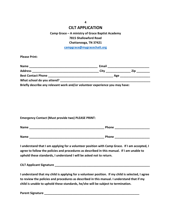#### **4 CILT APPLICATION**

## **Camp Grace – A ministry of Grace Baptist Academy 7815 Shallowford Road Chattanooga, TN 37421**

**campgrace@mygracechatt.org**

**Please Print:**

| <b>Name</b>                                                                  | Email |     |
|------------------------------------------------------------------------------|-------|-----|
| <b>Address</b>                                                               | City  | Zin |
| <b>Best Contact Phone</b>                                                    | Age   |     |
| What school do you attend?                                                   |       |     |
| Briefly describe any relevant work and/or volunteer experience you may have: |       |     |

**Emergency Contact (Must provide two) PLEASE PRINT:**

| <b>Name</b> | Phone |  |
|-------------|-------|--|
|             |       |  |
| <b>Name</b> | Phone |  |

**I understand that I am applying for a volunteer position with Camp Grace. If I am accepted, I agree to follow the policies and procedures as described in this manual. If I am unable to uphold these standards, I understand I will be asked not to return.**

| <b>CILT Applicant Signature</b> |  |
|---------------------------------|--|
|---------------------------------|--|

**I understand that my child is applying for a volunteer position. If my child is selected, I agree to review the policies and procedures as described in this manual. I understand that if my child is unable to uphold these standards, he/she will be subject to termination.**

**Parent Signature \_\_\_\_\_\_\_\_\_\_\_\_\_\_\_\_\_\_\_\_\_\_\_\_\_\_\_\_\_\_\_\_\_\_\_\_\_\_\_\_\_\_\_\_\_\_\_\_\_\_\_\_\_\_\_\_\_**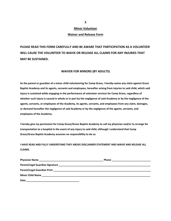#### **Minor Volunteer**

#### **Waiver and Release Form**

**PLEASE READ THIS FORM CAREFULLY AND BE AWARE THAT PARTICIPATION AS A VOLUNTEER WILL CAUSE THE VOLUNTEER TO WAIVE OR RELEASE ALL CLAIMS FOR ANY INJURIES THAT MAY BE SUSTAINED.**

#### **WAIVER FOR MINORS (BY ADULTS)**

**As the parent or guardian of a minor child volunteering for Camp Grace, I hereby waive any claim against Grace Baptist Academy and its agents, servants and employees, hereafter arising from injuries to said child, which said injury is sustained while engaging in the performance of volunteer services for Camp Grace, regardless of whether such injury is caused in whole or in part by the negligence of said Academy or by the negligence of the agents, servants, or employees of the Academy, its agents, servants, and employees from any claim, damages, or demand hereafter the negligence of said Academy or by the negligence of the agents, servants, and employees of the Academy.**

**I hereby give my permission for Camp Grace/Grace Baptist Academy to call my physician and/or to arrange for transportation to a hospital in the event of any injury to said child, although I understand that Camp Grace/Grace Baptist Academy assumes no responsibility to do so.**

**I HAVE READ AND FULLY UNDERSTAND THEY ABOVE DISCLAIMER STATEMENT AND WAIVE AND RELEASE ALL CLAIMS.**

| Date |  |
|------|--|

**5**